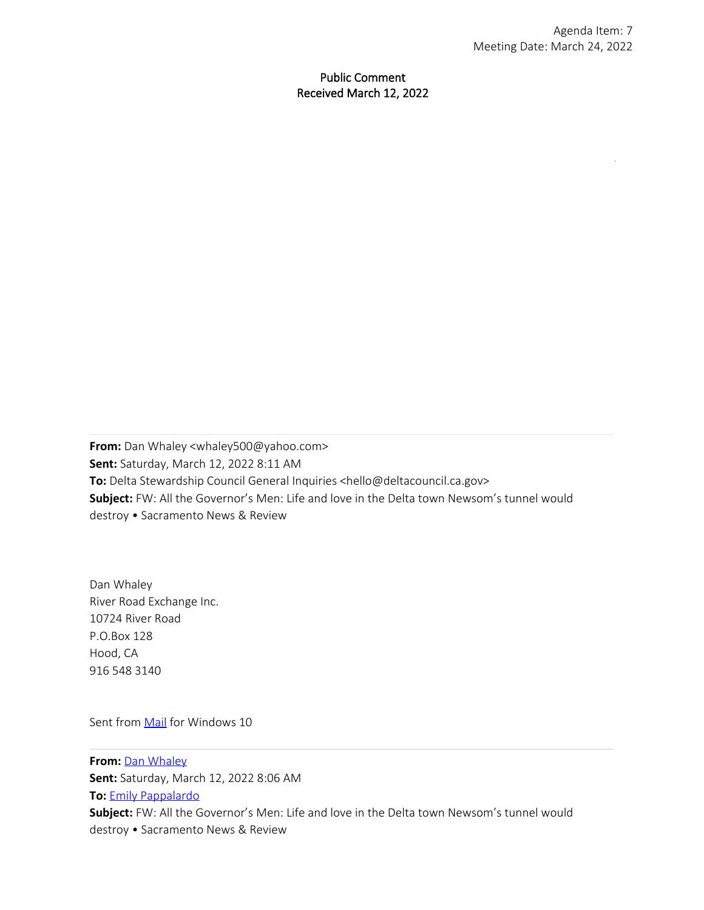Public Comment Received March 12, 2022

**From:** Dan Whaley <[whaley500@yahoo.com](mailto:whaley500@yahoo.com)> **Sent:** Saturday, March 12, 2022 8:11 AM **To:** Delta Stewardship Council General Inquiries [<hello@deltacouncil.ca.gov](mailto:hello@deltacouncil.ca.gov)> **Subject:** FW: All the Governor's Men: Life and love in the Delta town Newsom's tunnel would destroy • Sacramento News & Review

Dan Whaley River Road Exchange Inc. 10724 River Road P.O.Box 128 Hood, CA 916 548 3140

Sent from [Mail](https://go.microsoft.com/fwlink/?LinkId=550986) for Windows 10

**From:** [Dan Whaley](mailto:whaley500@yahoo.com) **Sent:** Saturday, March 12, 2022 8:06 AM **To:** [Emily Pappalardo](mailto:pappalardo@mbkengineers.com) **Subject:** FW: All the Governor's Men: Life and love in the Delta town Newsom's tunnel would destroy • Sacramento News & Review